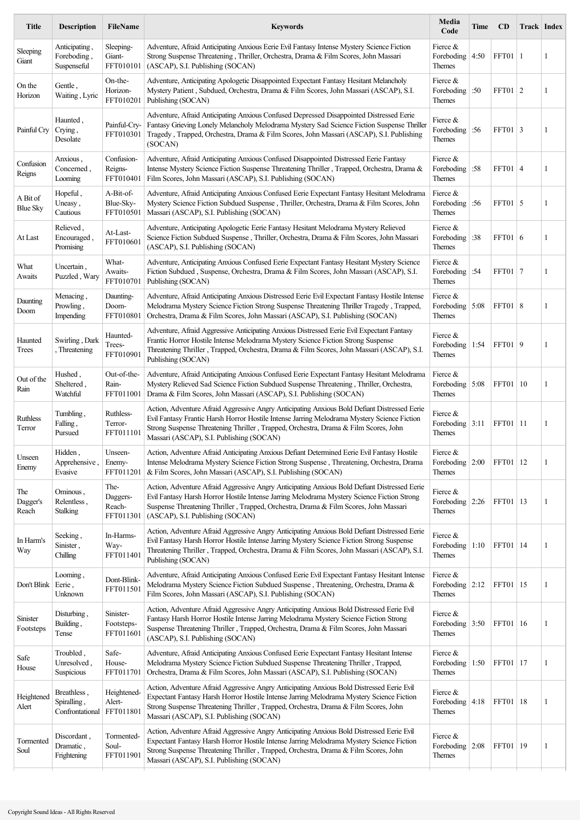| Title                       | <b>Description</b>                            | FileName                                | <b>Keywords</b>                                                                                                                                                                                                                                                                                                                | Media<br>Code                                         | Time | - CD              | Track Index  |
|-----------------------------|-----------------------------------------------|-----------------------------------------|--------------------------------------------------------------------------------------------------------------------------------------------------------------------------------------------------------------------------------------------------------------------------------------------------------------------------------|-------------------------------------------------------|------|-------------------|--------------|
| Sleeping<br>Giant           | Anticipating,<br>Foreboding,<br>Suspenseful   | Sleeping-<br>Giant-<br>FFT010101        | Adventure, Afraid Anticipating Anxious Eerie Evil Fantasy Intense Mystery Science Fiction<br>Strong Suspense Threatening, Thriller, Orchestra, Drama & Film Scores, John Massari<br>(ASCAP), S.I. Publishing (SOCAN)                                                                                                           | Fierce $&$<br>Foreboding $ 4:50$<br>Themes            |      | FFT01   1         | 1            |
| On the<br>Horizon           | Gentle,<br>Waiting, Lyric                     | On-the-<br>Horizon-<br>FFT010201        | Adventure, Anticipating Apologetic Disappointed Expectant Fantasy Hesitant Melancholy<br>Mystery Patient, Subdued, Orchestra, Drama & Film Scores, John Massari (ASCAP), S.I.<br>Publishing (SOCAN)                                                                                                                            | Fierce &<br>Foreboding :50<br>Themes                  |      | FFT01   2         | 1            |
| Painful Cry                 | Haunted,<br>Crying,<br>Desolate               | Painful-Cry-<br>FFT010301               | Adventure, Afraid Anticipating Anxious Confused Depressed Disappointed Distressed Eerie<br>Fantasy Grieving Lonely Melancholy Melodrama Mystery Sad Science Fiction Suspense Thriller<br>Tragedy, Trapped, Orchestra, Drama & Film Scores, John Massari (ASCAP), S.I. Publishing<br>(SOCAN)                                    | Fierce &<br>Foreboding :56<br>Themes                  |      | FFT01   3         | 1            |
| Confusion<br>Reigns         | Anxious,<br>Concerned,<br>Looming             | Confusion-<br>Reigns-<br>FFT010401      | Adventure, Afraid Anticipating Anxious Confused Disappointed Distressed Eerie Fantasy<br>Intense Mystery Science Fiction Suspense Threatening Thriller, Trapped, Orchestra, Drama &<br>Film Scores, John Massari (ASCAP), S.I. Publishing (SOCAN)                                                                              | Fierce &<br>Foreboding :58<br>Themes                  |      | FFT01   4         | 1            |
| A Bit of<br><b>Blue Sky</b> | Hopeful,<br>Uneasy,<br>Cautious               | A-Bit-of-<br>Blue-Sky-<br>FFT010501     | Adventure, Afraid Anticipating Anxious Confused Eerie Expectant Fantasy Hesitant Melodrama<br>Mystery Science Fiction Subdued Suspense, Thriller, Orchestra, Drama & Film Scores, John<br>Massari (ASCAP), S.I. Publishing (SOCAN)                                                                                             | Fierce &<br>Foreboding :56<br>Themes                  |      | FFT01   5         | 1            |
| At Last                     | Relieved,<br>Encouraged,<br>Promising         | At-Last-<br>FFT010601                   | Adventure, Anticipating Apologetic Eerie Fantasy Hesitant Melodrama Mystery Relieved<br>Science Fiction Subdued Suspense, Thriller, Orchestra, Drama & Film Scores, John Massari<br>(ASCAP), S.I. Publishing (SOCAN)                                                                                                           | Fierce &<br>Foreboding   :38<br>Themes                |      | FFT01   6         | 1            |
| What<br>Awaits              | Uncertain,<br>Puzzled, Wary                   | What-<br>Awaits-<br>FFT010701           | Adventure, Anticipating Anxious Confused Eerie Expectant Fantasy Hesitant Mystery Science<br>Fiction Subdued, Suspense, Orchestra, Drama & Film Scores, John Massari (ASCAP), S.I.<br>Publishing (SOCAN)                                                                                                                       | Fierce &<br>Foreboding :54<br>Themes                  |      | <b>FFT01 7</b>    | 1            |
| Daunting<br>Doom            | Menacing,<br>Prowling,<br>Impending           | Daunting-<br>Doom-<br>FFT010801         | Adventure, Afraid Anticipating Anxious Distressed Eerie Evil Expectant Fantasy Hostile Intense<br>Melodrama Mystery Science Fiction Strong Suspense Threatening Thriller Tragedy, Trapped,<br>Orchestra, Drama & Film Scores, John Massari (ASCAP), S.I. Publishing (SOCAN)                                                    | Fierce $&$<br>Foreboding 5:08<br>Themes               |      | FFT01   8         | 1            |
| Haunted<br>Trees            | Swirling, Dark<br>Threatening                 | Haunted-<br>Trees-<br>FFT010901         | Adventure, Afraid Aggressive Anticipating Anxious Distressed Eerie Evil Expectant Fantasy<br>Frantic Horror Hostile Intense Melodrama Mystery Science Fiction Strong Suspense<br>Threatening Thriller, Trapped, Orchestra, Drama & Film Scores, John Massari (ASCAP), S.I.<br>Publishing (SOCAN)                               | Fierce $\&$<br>Foreboding   1:54<br>Themes            |      | FFT01   9         | $\mathbf{1}$ |
| Out of the<br>Rain          | Hushed,<br>Sheltered,<br>Watchful             | Out-of-the-<br>Rain-<br>FFT011001       | Adventure, Afraid Anticipating Anxious Confused Eerie Expectant Fantasy Hesitant Melodrama<br>Mystery Relieved Sad Science Fiction Subdued Suspense Threatening, Thriller, Orchestra,<br>Drama & Film Scores, John Massari (ASCAP), S.I. Publishing (SOCAN)                                                                    | Fierce $&$<br>Foreboding 5:08<br>Themes               |      | <b>FFT01</b>   10 | 1            |
| Ruthless<br>Terror          | Tumbling,<br>Falling,<br>Pursued              | Ruthless-<br>Terror-<br>FFT011101       | Action, Adventure Afraid Aggressive Angry Anticipating Anxious Bold Defiant Distressed Eerie<br>Evil Fantasy Frantic Harsh Horror Hostile Intense Jarring Melodrama Mystery Science Fiction<br>Strong Suspense Threatening Thriller, Trapped, Orchestra, Drama & Film Scores, John<br>Massari (ASCAP), S.I. Publishing (SOCAN) | Fierce &<br>Foreboding $ 3:11$<br>Themes              |      | FFT01   11        | 1            |
| Unseen<br>Enemy             | Hidden,<br>Apprehensive,<br>Evasive           | Unseen-<br>Enemy-<br>FFT011201          | Action, Adventure Afraid Anticipating Anxious Defiant Determined Eerie Evil Fantasy Hostile<br>Intense Melodrama Mystery Science Fiction Strong Suspense, Threatening, Orchestra, Drama<br>& Film Scores, John Massari (ASCAP), S.I. Publishing (SOCAN)                                                                        | Fierce &<br>Foreboding $\vert 2:00 \rangle$<br>Themes |      | FFT01   12        | 1            |
| The<br>Dagger's<br>Reach    | Ominous,<br>Relentless,<br>Stalking           | The-<br>Daggers-<br>Reach-<br>FFT011301 | Action, Adventure Afraid Aggressive Angry Anticipating Anxious Bold Defiant Distressed Eerie<br>Evil Fantasy Harsh Horror Hostile Intense Jarring Melodrama Mystery Science Fiction Strong<br>Suspense Threatening Thriller, Trapped, Orchestra, Drama & Film Scores, John Massari<br>(ASCAP), S.I. Publishing (SOCAN)         | Fierce &<br>Foreboding 2:26<br>Themes                 |      | FFT01   13        | 1            |
| In Harm's<br>Way            | Seeking,<br>Sinister,<br>Chilling             | In-Harms-<br>Way-<br>FFT011401          | Action, Adventure Afraid Aggressive Angry Anticipating Anxious Bold Defiant Distressed Eerie<br>Evil Fantasy Harsh Horror Hostile Intense Jarring Mystery Science Fiction Strong Suspense<br>Threatening Thriller, Trapped, Orchestra, Drama & Film Scores, John Massari (ASCAP), S.I.<br>Publishing (SOCAN)                   | Fierce $\&$<br>Foreboding   $1:10$<br>Themes          |      | FFT01   14        | 1            |
| Don't Blink                 | Looming,<br>Eerie,<br>Unknown                 | Dont-Blink-<br>FFT011501                | Adventure, Afraid Anticipating Anxious Confused Eerie Evil Expectant Fantasy Hesitant Intense<br>Melodrama Mystery Science Fiction Subdued Suspense, Threatening, Orchestra, Drama &<br>Film Scores, John Massari (ASCAP), S.I. Publishing (SOCAN)                                                                             | Fierce $\&$<br>Foreboding 2:12<br>Themes              |      | FFT01   15        | 1            |
| Sinister<br>Footsteps       | Disturbing,<br>Building,<br>Tense             | Sinister-<br>Footsteps-<br>FFT011601    | Action, Adventure Afraid Aggressive Angry Anticipating Anxious Bold Distressed Eerie Evil<br>Fantasy Harsh Horror Hostile Intense Jarring Melodrama Mystery Science Fiction Strong<br>Suspense Threatening Thriller, Trapped, Orchestra, Drama & Film Scores, John Massari<br>(ASCAP), S.I. Publishing (SOCAN)                 | Fierce &<br>Foreboding $ 3:50$<br>Themes              |      | FFT01   16        | 1            |
| Safe<br>House               | Troubled,<br>Unresolved,<br>Suspicious        | Safe-<br>House-<br>FFT011701            | Adventure, Afraid Anticipating Anxious Confused Eerie Expectant Fantasy Hesitant Intense<br>Melodrama Mystery Science Fiction Subdued Suspense Threatening Thriller, Trapped,<br>Orchestra, Drama & Film Scores, John Massari (ASCAP), S.I. Publishing (SOCAN)                                                                 | Fierce $&$<br>Foreboding $\vert$ 1:50<br>Themes       |      | FFT01   17        | 1            |
| Heightened<br>Alert         | Breathless,<br>Spiralling,<br>Confrontational | Heightened-<br>Alert-<br>FFT011801      | Action, Adventure Afraid Aggressive Angry Anticipating Anxious Bold Distressed Eerie Evil<br>Expectant Fantasy Harsh Horror Hostile Intense Jarring Melodrama Mystery Science Fiction<br>Strong Suspense Threatening Thriller, Trapped, Orchestra, Drama & Film Scores, John<br>Massari (ASCAP), S.I. Publishing (SOCAN)       | Fierce &<br>Foreboding $ 4:18$<br>Themes              |      | FFT01   18        | 1            |
| Tormented<br>Soul           | Discordant,<br>Dramatic,<br>Frightening       | Tormented-<br>Soul-<br>FFT011901        | Action, Adventure Afraid Aggressive Angry Anticipating Anxious Bold Distressed Eerie Evil<br>Expectant Fantasy Harsh Horror Hostile Intense Jarring Melodrama Mystery Science Fiction<br>Strong Suspense Threatening Thriller, Trapped, Orchestra, Drama & Film Scores, John<br>Massari (ASCAP), S.I. Publishing (SOCAN)       | Fierce $&$<br>Foreboding 2:08<br>Themes               |      | FFT01   19        | 1            |